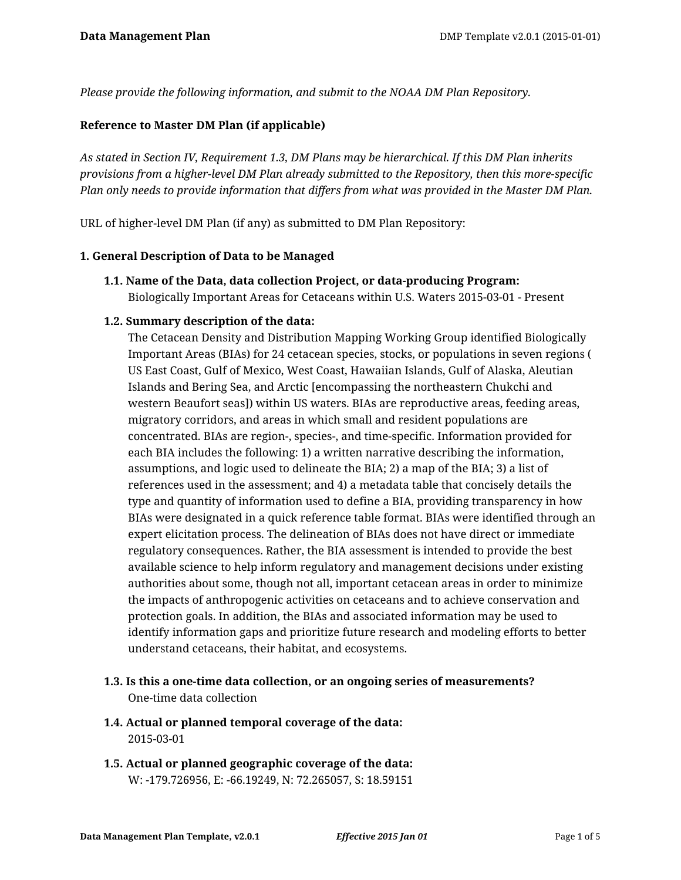*Please provide the following information, and submit to the NOAA DM Plan Repository.*

#### **Reference to Master DM Plan (if applicable)**

*As stated in Section IV, Requirement 1.3, DM Plans may be hierarchical. If this DM Plan inherits provisions from a higher-level DM Plan already submitted to the Repository, then this more-specific Plan only needs to provide information that differs from what was provided in the Master DM Plan.*

URL of higher-level DM Plan (if any) as submitted to DM Plan Repository:

#### **1. General Description of Data to be Managed**

**1.1. Name of the Data, data collection Project, or data-producing Program:** Biologically Important Areas for Cetaceans within U.S. Waters 2015-03-01 - Present

#### **1.2. Summary description of the data:**

The Cetacean Density and Distribution Mapping Working Group identified Biologically Important Areas (BIAs) for 24 cetacean species, stocks, or populations in seven regions ( US East Coast, Gulf of Mexico, West Coast, Hawaiian Islands, Gulf of Alaska, Aleutian Islands and Bering Sea, and Arctic [encompassing the northeastern Chukchi and western Beaufort seas]) within US waters. BIAs are reproductive areas, feeding areas, migratory corridors, and areas in which small and resident populations are concentrated. BIAs are region-, species-, and time-specific. Information provided for each BIA includes the following: 1) a written narrative describing the information, assumptions, and logic used to delineate the BIA; 2) a map of the BIA; 3) a list of references used in the assessment; and 4) a metadata table that concisely details the type and quantity of information used to define a BIA, providing transparency in how BIAs were designated in a quick reference table format. BIAs were identified through an expert elicitation process. The delineation of BIAs does not have direct or immediate regulatory consequences. Rather, the BIA assessment is intended to provide the best available science to help inform regulatory and management decisions under existing authorities about some, though not all, important cetacean areas in order to minimize the impacts of anthropogenic activities on cetaceans and to achieve conservation and protection goals. In addition, the BIAs and associated information may be used to identify information gaps and prioritize future research and modeling efforts to better understand cetaceans, their habitat, and ecosystems.

- **1.3. Is this a one-time data collection, or an ongoing series of measurements?** One-time data collection
- **1.4. Actual or planned temporal coverage of the data:** 2015-03-01
- **1.5. Actual or planned geographic coverage of the data:** W: -179.726956, E: -66.19249, N: 72.265057, S: 18.59151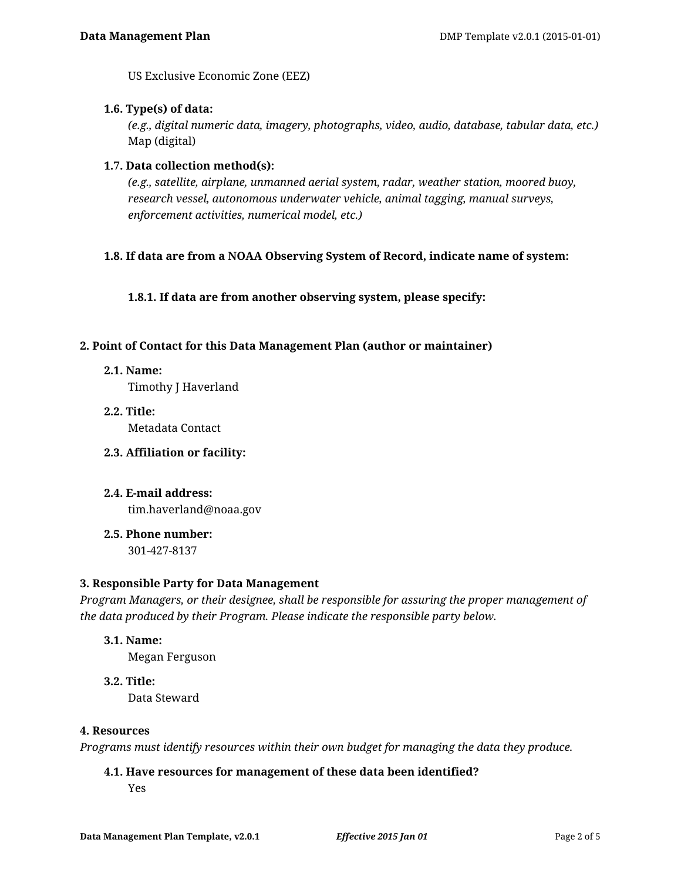US Exclusive Economic Zone (EEZ)

#### **1.6. Type(s) of data:**

*(e.g., digital numeric data, imagery, photographs, video, audio, database, tabular data, etc.)* Map (digital)

#### **1.7. Data collection method(s):**

*(e.g., satellite, airplane, unmanned aerial system, radar, weather station, moored buoy, research vessel, autonomous underwater vehicle, animal tagging, manual surveys, enforcement activities, numerical model, etc.)*

## **1.8. If data are from a NOAA Observing System of Record, indicate name of system:**

**1.8.1. If data are from another observing system, please specify:**

#### **2. Point of Contact for this Data Management Plan (author or maintainer)**

**2.1. Name:**

Timothy J Haverland

- **2.2. Title:** Metadata Contact
- **2.3. Affiliation or facility:**
- **2.4. E-mail address:** tim.haverland@noaa.gov
- **2.5. Phone number:**

301-427-8137

## **3. Responsible Party for Data Management**

*Program Managers, or their designee, shall be responsible for assuring the proper management of the data produced by their Program. Please indicate the responsible party below.*

**3.1. Name:**

Megan Ferguson

**3.2. Title:** Data Steward

#### **4. Resources**

*Programs must identify resources within their own budget for managing the data they produce.*

#### **4.1. Have resources for management of these data been identified?**

Yes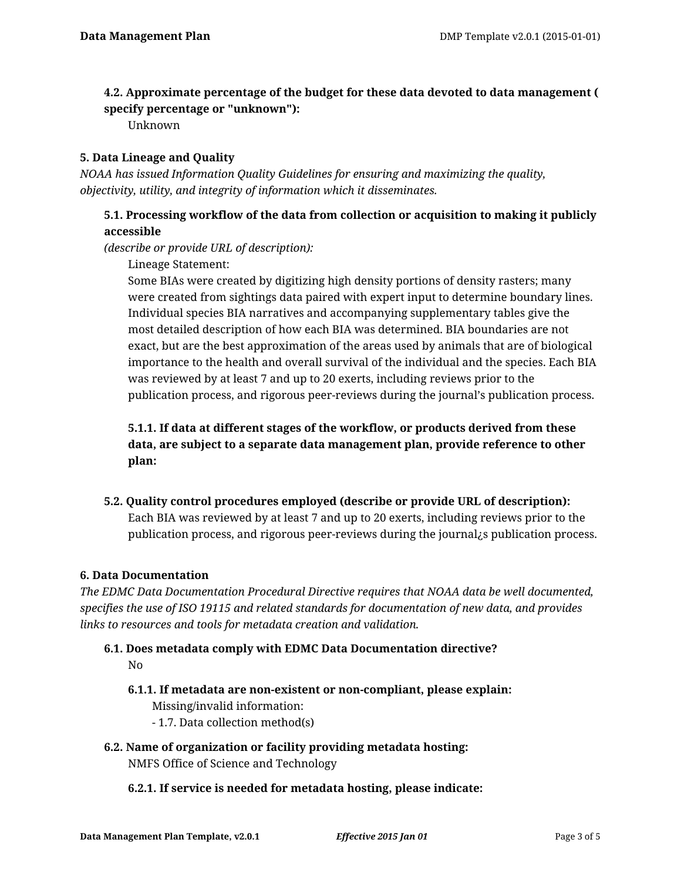## **4.2. Approximate percentage of the budget for these data devoted to data management ( specify percentage or "unknown"):**

Unknown

## **5. Data Lineage and Quality**

*NOAA has issued Information Quality Guidelines for ensuring and maximizing the quality, objectivity, utility, and integrity of information which it disseminates.*

## **5.1. Processing workflow of the data from collection or acquisition to making it publicly accessible**

*(describe or provide URL of description):*

Lineage Statement:

Some BIAs were created by digitizing high density portions of density rasters; many were created from sightings data paired with expert input to determine boundary lines. Individual species BIA narratives and accompanying supplementary tables give the most detailed description of how each BIA was determined. BIA boundaries are not exact, but are the best approximation of the areas used by animals that are of biological importance to the health and overall survival of the individual and the species. Each BIA was reviewed by at least 7 and up to 20 exerts, including reviews prior to the publication process, and rigorous peer-reviews during the journal's publication process.

**5.1.1. If data at different stages of the workflow, or products derived from these data, are subject to a separate data management plan, provide reference to other plan:**

**5.2. Quality control procedures employed (describe or provide URL of description):** Each BIA was reviewed by at least 7 and up to 20 exerts, including reviews prior to the publication process, and rigorous peer-reviews during the journal¿s publication process.

## **6. Data Documentation**

*The EDMC Data Documentation Procedural Directive requires that NOAA data be well documented, specifies the use of ISO 19115 and related standards for documentation of new data, and provides links to resources and tools for metadata creation and validation.*

# **6.1. Does metadata comply with EDMC Data Documentation directive?** No

- **6.1.1. If metadata are non-existent or non-compliant, please explain:** Missing/invalid information:
	- 1.7. Data collection method(s)
- **6.2. Name of organization or facility providing metadata hosting:** NMFS Office of Science and Technology
	- **6.2.1. If service is needed for metadata hosting, please indicate:**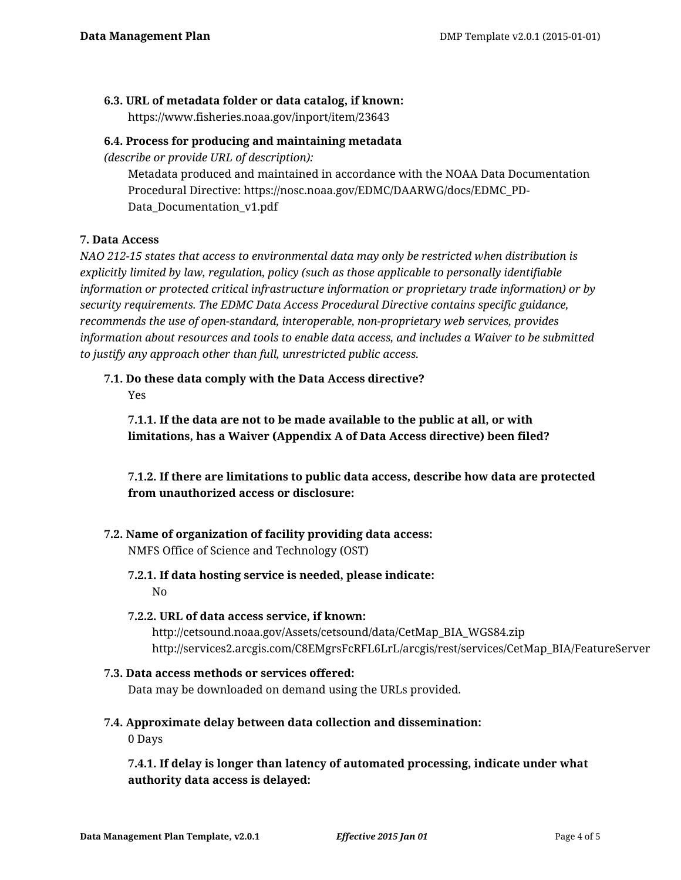#### **6.3. URL of metadata folder or data catalog, if known:**

https://www.fisheries.noaa.gov/inport/item/23643

#### **6.4. Process for producing and maintaining metadata**

*(describe or provide URL of description):*

Metadata produced and maintained in accordance with the NOAA Data Documentation Procedural Directive: https://nosc.noaa.gov/EDMC/DAARWG/docs/EDMC\_PD-Data\_Documentation\_v1.pdf

## **7. Data Access**

*NAO 212-15 states that access to environmental data may only be restricted when distribution is explicitly limited by law, regulation, policy (such as those applicable to personally identifiable information or protected critical infrastructure information or proprietary trade information) or by security requirements. The EDMC Data Access Procedural Directive contains specific guidance, recommends the use of open-standard, interoperable, non-proprietary web services, provides information about resources and tools to enable data access, and includes a Waiver to be submitted to justify any approach other than full, unrestricted public access.*

# **7.1. Do these data comply with the Data Access directive?**

Yes

**7.1.1. If the data are not to be made available to the public at all, or with limitations, has a Waiver (Appendix A of Data Access directive) been filed?**

**7.1.2. If there are limitations to public data access, describe how data are protected from unauthorized access or disclosure:**

## **7.2. Name of organization of facility providing data access:**

NMFS Office of Science and Technology (OST)

# **7.2.1. If data hosting service is needed, please indicate:**

No

## **7.2.2. URL of data access service, if known:**

http://cetsound.noaa.gov/Assets/cetsound/data/CetMap\_BIA\_WGS84.zip http://services2.arcgis.com/C8EMgrsFcRFL6LrL/arcgis/rest/services/CetMap\_BIA/FeatureServer

## **7.3. Data access methods or services offered:**

Data may be downloaded on demand using the URLs provided.

# **7.4. Approximate delay between data collection and dissemination:**

0 Days

**7.4.1. If delay is longer than latency of automated processing, indicate under what authority data access is delayed:**